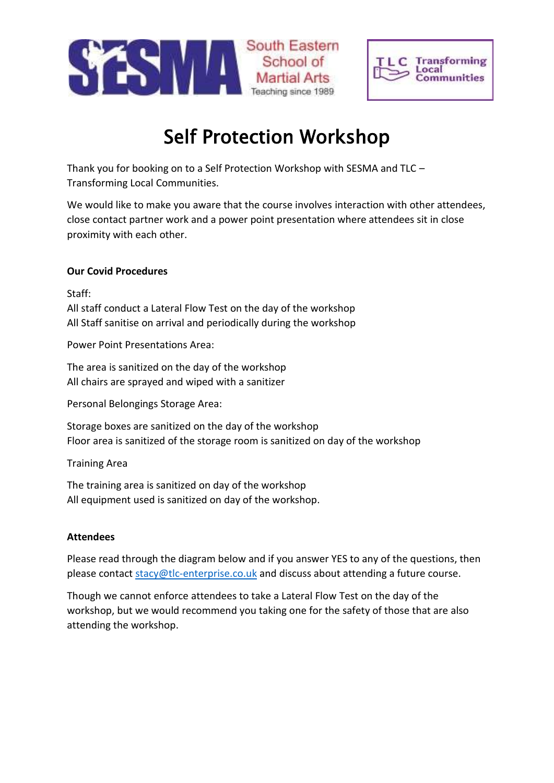



## Self Protection Workshop

Thank you for booking on to a Self Protection Workshop with SESMA and TLC – Transforming Local Communities.

We would like to make you aware that the course involves interaction with other attendees, close contact partner work and a power point presentation where attendees sit in close proximity with each other.

## **Our Covid Procedures**

Staff:

All staff conduct a Lateral Flow Test on the day of the workshop All Staff sanitise on arrival and periodically during the workshop

Power Point Presentations Area:

The area is sanitized on the day of the workshop All chairs are sprayed and wiped with a sanitizer

Personal Belongings Storage Area:

Storage boxes are sanitized on the day of the workshop Floor area is sanitized of the storage room is sanitized on day of the workshop

Training Area

The training area is sanitized on day of the workshop All equipment used is sanitized on day of the workshop.

## **Attendees**

Please read through the diagram below and if you answer YES to any of the questions, then please contact [stacy@tlc-enterprise.co.uk](mailto:stacy@tlc-enterprise.co.uk) and discuss about attending a future course.

Though we cannot enforce attendees to take a Lateral Flow Test on the day of the workshop, but we would recommend you taking one for the safety of those that are also attending the workshop.